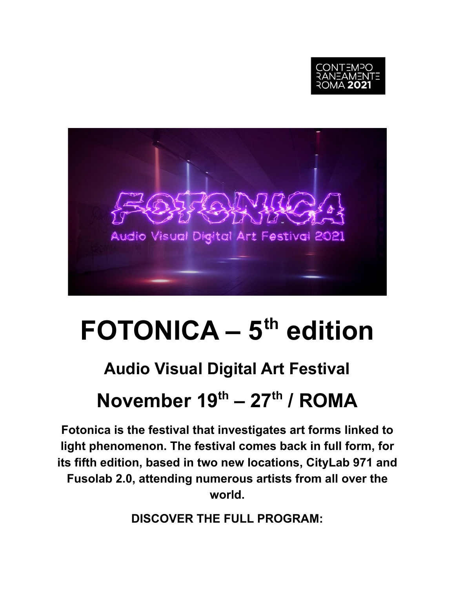



# **FOTONICA – 5th edition**

### **Audio Visual Digital Art Festival**

## **November 19 th – 27 th / ROMA**

**Fotonica is the festival that investigates art forms linked to light phenomenon. The festival comes back in full form, for its fifth edition, based in two new locations, CityLab 971 and Fusolab 2.0, attending numerous artists from all over the world.**

**DISCOVER THE FULL PROGRAM:**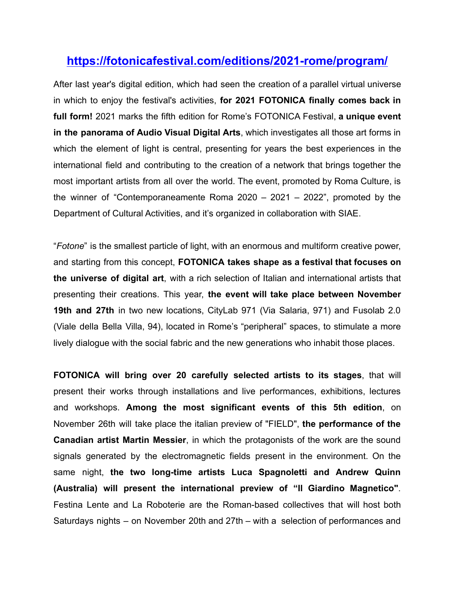#### **<https://fotonicafestival.com/editions/2021-rome/program/>**

After last year's digital edition, which had seen the creation of a parallel virtual universe in which to enjoy the festival's activities, **for 2021 FOTONICA finally comes back in full form!** 2021 marks the fifth edition for Rome's FOTONICA Festival, **a unique event in the panorama of Audio Visual Digital Arts**, which investigates all those art forms in which the element of light is central, presenting for years the best experiences in the international field and contributing to the creation of a network that brings together the most important artists from all over the world. The event, promoted by Roma Culture, is the winner of "Contemporaneamente Roma 2020 – 2021 – 2022", promoted by the Department of Cultural Activities, and it's organized in collaboration with SIAE.

"*Fotone*" is the smallest particle of light, with an enormous and multiform creative power, and starting from this concept, **FOTONICA takes shape as a festival that focuses on the universe of digital art**, with a rich selection of Italian and international artists that presenting their creations. This year, **the event will take place between November 19th and 27th** in two new locations, CityLab 971 (Via Salaria, 971) and Fusolab 2.0 (Viale della Bella Villa, 94), located in Rome's "peripheral" spaces, to stimulate a more lively dialogue with the social fabric and the new generations who inhabit those places.

**FOTONICA will bring over 20 carefully selected artists to its stages**, that will present their works through installations and live performances, exhibitions, lectures and workshops. **Among the most significant events of this 5th edition**, on November 26th will take place the italian preview of "FIELD", **the performance of the Canadian artist Martin Messier**, in which the protagonists of the work are the sound signals generated by the electromagnetic fields present in the environment. On the same night, **the two long-time artists Luca Spagnoletti and Andrew Quinn (Australia) will present the international preview of "Il Giardino Magnetico"**. Festina Lente and La Roboterie are the Roman-based collectives that will host both Saturdays nights – on November 20th and 27th – with a selection of performances and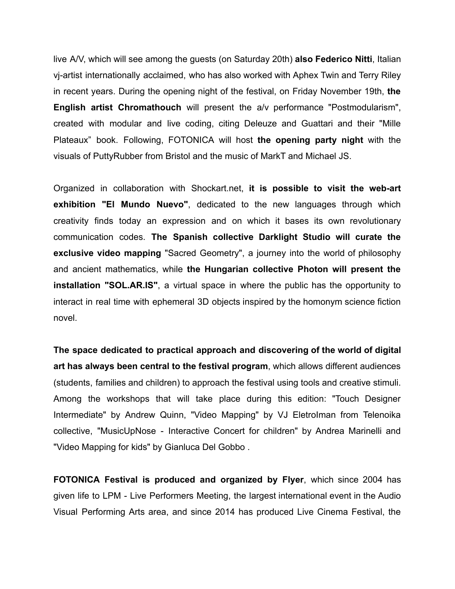live A/V, which will see among the guests (on Saturday 20th) **also Federico Nitti**, Italian vj-artist internationally acclaimed, who has also worked with Aphex Twin and Terry Riley in recent years. During the opening night of the festival, on Friday November 19th, **the English artist Chromathouch** will present the a/v performance "Postmodularism", created with modular and live coding, citing Deleuze and Guattari and their "Mille Plateaux" book. Following, FOTONICA will host **the opening party night** with the visuals of PuttyRubber from Bristol and the music of MarkT and Michael JS.

Organized in collaboration with Shockart.net, **it is possible to visit the web-art exhibition "El Mundo Nuevo"**, dedicated to the new languages through which creativity finds today an expression and on which it bases its own revolutionary communication codes. **The Spanish collective Darklight Studio will curate the exclusive video mapping** "Sacred Geometry", a journey into the world of philosophy and ancient mathematics, while **the Hungarian collective Photon will present the installation "SOL.AR.IS"**, a virtual space in where the public has the opportunity to interact in real time with ephemeral 3D objects inspired by the homonym science fiction novel.

**The space dedicated to practical approach and discovering of the world of digital art has always been central to the festival program**, which allows different audiences (students, families and children) to approach the festival using tools and creative stimuli. Among the workshops that will take place during this edition: "Touch Designer Intermediate" by Andrew Quinn, "Video Mapping" by VJ EletroIman from Telenoika collective, "MusicUpNose - Interactive Concert for children" by Andrea Marinelli and "Video Mapping for kids" by Gianluca Del Gobbo .

**FOTONICA Festival is produced and organized by Flyer**, which since 2004 has given life to LPM - Live Performers Meeting, the largest international event in the Audio Visual Performing Arts area, and since 2014 has produced Live Cinema Festival, the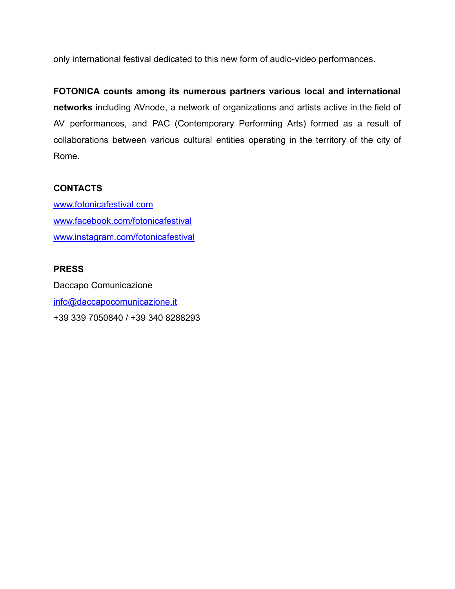only international festival dedicated to this new form of audio-video performances.

**FOTONICA counts among its numerous partners various local and international networks** including AVnode, a network of organizations and artists active in the field of AV performances, and PAC (Contemporary Performing Arts) formed as a result of collaborations between various cultural entities operating in the territory of the city of Rome.

#### **CONTACTS**

[www.fotonicafestival.com](http://www.fotonicafestival.com) [www.facebook.com/fotonicafestival](http://www.facebook.com/fotonicafestival) [www.instagram.com/fotonicafestival](http://www.instagram.com/fotonicafestival)

#### **PRESS**

Daccapo Comunicazione [info@daccapocomunicazione.it](mailto:info@daccapocomunicazione.it) +39 339 7050840 / +39 340 8288293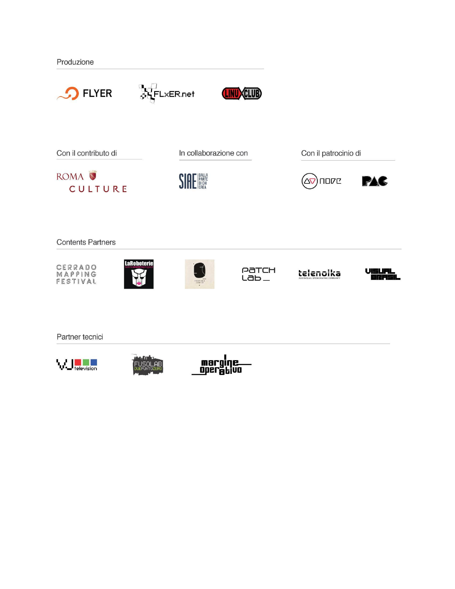